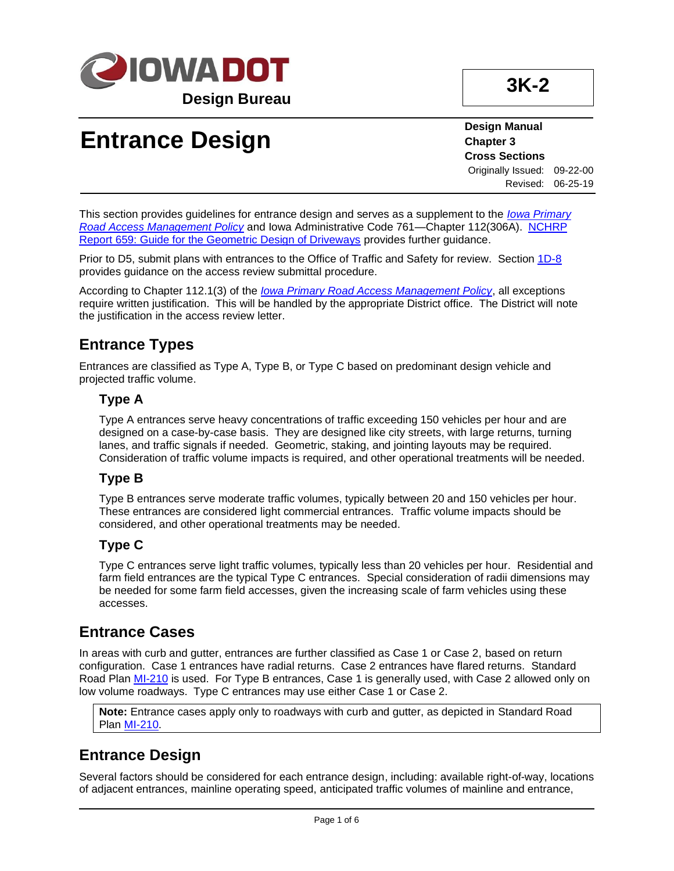

# **Entrance Design**

**Design Manual Chapter 3 Cross Sections** Originally Issued: 09-22-00

Revised: 06-25-19

This section provides guidelines for entrance design and serves as a supplement to the *[Iowa Primary](https://iowadot.gov/traffic/pdfs/AccessPolicy.pdf)  [Road Access Management Policy](https://iowadot.gov/traffic/pdfs/AccessPolicy.pdf)* and Iowa Administrative Code 761—Chapter 112(306A). [NCHRP](03K-02/nchrp_rpt_659.pdf)  [Report 659: Guide for the Geometric Design of Driveways](03K-02/nchrp_rpt_659.pdf) provides further guidance.

Prior to D5, submit plans with entrances to the Office of Traffic and Safety for review. Section [1D-8](01d-08.pdf) provides guidance on the access review submittal procedure.

According to Chapter 112.1(3) of the *[Iowa Primary Road Access Management Policy](https://iowadot.gov/traffic/pdfs/AccessPolicy.pdf)*, all exceptions require written justification. This will be handled by the appropriate District office. The District will note the justification in the access review letter.

## **Entrance Types**

Entrances are classified as Type A, Type B, or Type C based on predominant design vehicle and projected traffic volume.

#### **Type A**

Type A entrances serve heavy concentrations of traffic exceeding 150 vehicles per hour and are designed on a case-by-case basis. They are designed like city streets, with large returns, turning lanes, and traffic signals if needed. Geometric, staking, and jointing layouts may be required. Consideration of traffic volume impacts is required, and other operational treatments will be needed.

#### **Type B**

Type B entrances serve moderate traffic volumes, typically between 20 and 150 vehicles per hour. These entrances are considered light commercial entrances. Traffic volume impacts should be considered, and other operational treatments may be needed.

#### **Type C**

Type C entrances serve light traffic volumes, typically less than 20 vehicles per hour. Residential and farm field entrances are the typical Type C entrances. Special consideration of radii dimensions may be needed for some farm field accesses, given the increasing scale of farm vehicles using these accesses.

### **Entrance Cases**

In areas with curb and gutter, entrances are further classified as Case 1 or Case 2, based on return configuration. Case 1 entrances have radial returns. Case 2 entrances have flared returns. Standard Road Plan [MI-210](../SRP/IndividualStandards/mi210.pdf) is used. For Type B entrances, Case 1 is generally used, with Case 2 allowed only on low volume roadways. Type C entrances may use either Case 1 or Case 2.

**Note:** Entrance cases apply only to roadways with curb and gutter, as depicted in Standard Road Plan [MI-210.](../SRP/IndividualStandards/mi210.pdf)

## **Entrance Design**

Several factors should be considered for each entrance design, including: available right-of-way, locations of adjacent entrances, mainline operating speed, anticipated traffic volumes of mainline and entrance,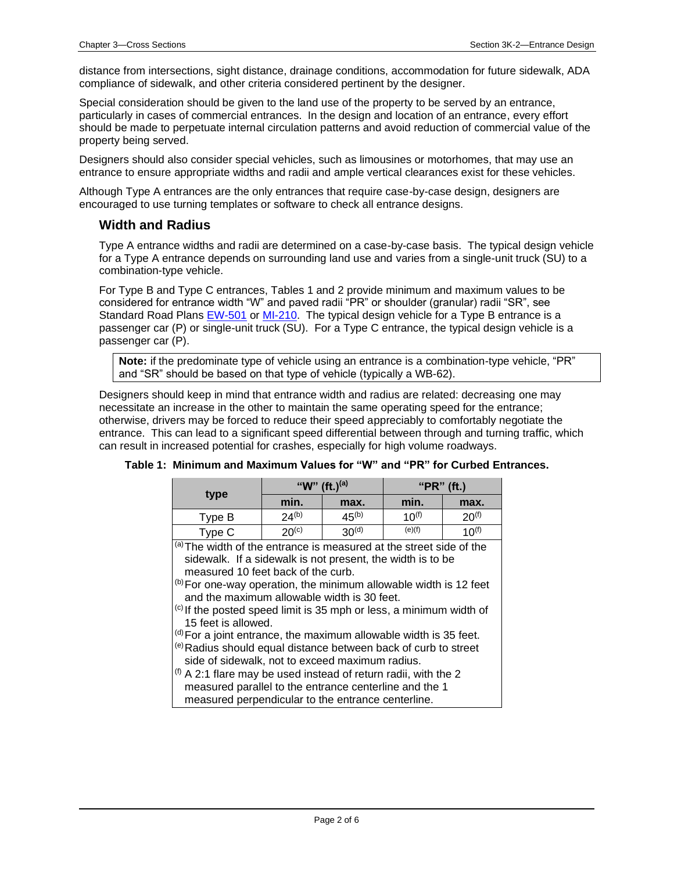distance from intersections, sight distance, drainage conditions, accommodation for future sidewalk, ADA compliance of sidewalk, and other criteria considered pertinent by the designer.

Special consideration should be given to the land use of the property to be served by an entrance, particularly in cases of commercial entrances. In the design and location of an entrance, every effort should be made to perpetuate internal circulation patterns and avoid reduction of commercial value of the property being served.

Designers should also consider special vehicles, such as limousines or motorhomes, that may use an entrance to ensure appropriate widths and radii and ample vertical clearances exist for these vehicles.

Although Type A entrances are the only entrances that require case-by-case design, designers are encouraged to use turning templates or software to check all entrance designs.

#### **Width and Radius**

Type A entrance widths and radii are determined on a case-by-case basis. The typical design vehicle for a Type A entrance depends on surrounding land use and varies from a single-unit truck (SU) to a combination-type vehicle.

For Type B and Type C entrances, Tables 1 and 2 provide minimum and maximum values to be considered for entrance width "W" and paved radii "PR" or shoulder (granular) radii "SR", see Standard Road Plans [EW-501](../SRP/IndividualStandards/ew501.pdf) or [MI-210.](../SRP/IndividualStandards/mi210.pdf) The typical design vehicle for a Type B entrance is a passenger car (P) or single-unit truck (SU). For a Type C entrance, the typical design vehicle is a passenger car (P).

**Note:** if the predominate type of vehicle using an entrance is a combination-type vehicle, "PR" and "SR" should be based on that type of vehicle (typically a WB-62).

Designers should keep in mind that entrance width and radius are related: decreasing one may necessitate an increase in the other to maintain the same operating speed for the entrance; otherwise, drivers may be forced to reduce their speed appreciably to comfortably negotiate the entrance. This can lead to a significant speed differential between through and turning traffic, which can result in increased potential for crashes, especially for high volume roadways.

|                                                                                                                                                                                                                                                                                                                                                                                                                                                                                                                                                                                                                                                                                                                                                                                                                           | "W" (ft.) <sup>(a)</sup> |                   | " $PR"$ (ft.) |            |  |
|---------------------------------------------------------------------------------------------------------------------------------------------------------------------------------------------------------------------------------------------------------------------------------------------------------------------------------------------------------------------------------------------------------------------------------------------------------------------------------------------------------------------------------------------------------------------------------------------------------------------------------------------------------------------------------------------------------------------------------------------------------------------------------------------------------------------------|--------------------------|-------------------|---------------|------------|--|
| type                                                                                                                                                                                                                                                                                                                                                                                                                                                                                                                                                                                                                                                                                                                                                                                                                      | min.                     | max.              | min.          | max.       |  |
| Type B                                                                                                                                                                                                                                                                                                                                                                                                                                                                                                                                                                                                                                                                                                                                                                                                                    | $24^{(b)}$               | $45^{(b)}$        | $10^{(f)}$    | $20^{(f)}$ |  |
| Type C                                                                                                                                                                                                                                                                                                                                                                                                                                                                                                                                                                                                                                                                                                                                                                                                                    | $20^{(c)}$               | 30 <sup>(d)</sup> | (e)(f)        | $10^{(f)}$ |  |
| (a) The width of the entrance is measured at the street side of the<br>sidewalk. If a sidewalk is not present, the width is to be<br>measured 10 feet back of the curb.<br>$\vert^{(b)}$ For one-way operation, the minimum allowable width is 12 feet<br>and the maximum allowable width is 30 feet.<br>$\vert$ <sup>(c)</sup> If the posted speed limit is 35 mph or less, a minimum width of<br>15 feet is allowed.<br>$(d)$ For a joint entrance, the maximum allowable width is 35 feet.<br>(e) Radius should equal distance between back of curb to street<br>side of sidewalk, not to exceed maximum radius.<br>$\vert$ <sup>(f)</sup> A 2:1 flare may be used instead of return radii, with the 2<br>measured parallel to the entrance centerline and the 1<br>measured perpendicular to the entrance centerline. |                          |                   |               |            |  |

**Table 1: Minimum and Maximum Values for "W" and "PR" for Curbed Entrances.**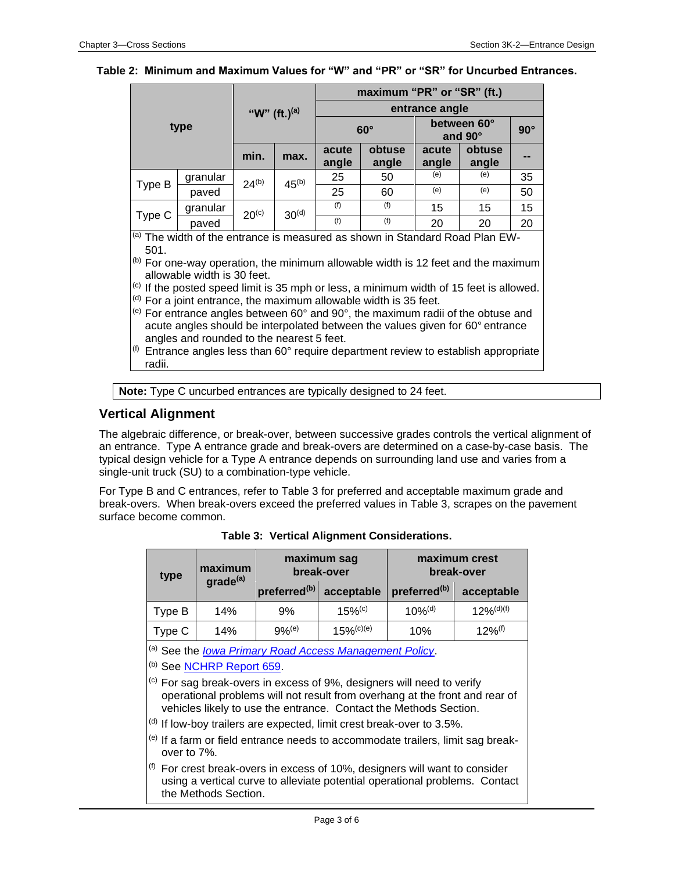#### **Table 2: Minimum and Maximum Values for "W" and "PR" or "SR" for Uncurbed Entrances.**

| type   |                                                                                                                                                                                                        | "W" (ft.) <sup>(a)</sup> |                   | maximum "PR" or "SR" (ft.)<br>entrance angle |            |                |                 |                |
|--------|--------------------------------------------------------------------------------------------------------------------------------------------------------------------------------------------------------|--------------------------|-------------------|----------------------------------------------|------------|----------------|-----------------|----------------|
|        |                                                                                                                                                                                                        |                          |                   |                                              |            |                |                 |                |
|        |                                                                                                                                                                                                        |                          |                   | min.                                         | max.       | acute<br>angle | obtuse<br>angle | acute<br>angle |
|        |                                                                                                                                                                                                        | Type B                   | granular          | $24^{(b)}$                                   | $45^{(b)}$ | 25             | 50              | (e)            |
| paved  | 25                                                                                                                                                                                                     |                          | 60                |                                              |            | (e)            | (e)             | 50             |
| Type C | granular                                                                                                                                                                                               | $20^{(c)}$               | 30 <sup>(d)</sup> | (f)                                          | (f)        | 15             | 15              | 15             |
|        | paved                                                                                                                                                                                                  |                          |                   | (f)                                          | (f)        | 20             | 20              | 20             |
| 501.   | (a) The width of the entrance is measured as shown in Standard Road Plan EW-<br>(b) $\Gamma$ and are constructed that the polarization of the collected the $\Lambda$ $\Omega$ fast and the production |                          |                   |                                              |            |                |                 |                |

 $<sup>(b)</sup>$  For one-way operation, the minimum allowable width is 12 feet and the maximum</sup> allowable width is 30 feet.

 $\left($ c) If the posted speed limit is 35 mph or less, a minimum width of 15 feet is allowed. (d) For a joint entrance, the maximum allowable width is 35 feet.

(e) For entrance angles between 60° and 90°, the maximum radii of the obtuse and acute angles should be interpolated between the values given for 60°entrance angles and rounded to the nearest 5 feet.

 $<sup>(f)</sup>$  Entrance angles less than 60 $<sup>°</sup>$  require department review to establish appropriate</sup></sup> radii.

**Note:** Type C uncurbed entrances are typically designed to 24 feet.

#### **Vertical Alignment**

The algebraic difference, or break-over, between successive grades controls the vertical alignment of an entrance. Type A entrance grade and break-overs are determined on a case-by-case basis. The typical design vehicle for a Type A entrance depends on surrounding land use and varies from a single-unit truck (SU) to a combination-type vehicle.

For Type B and C entrances, refer to Table 3 for preferred and acceptable maximum grade and break-overs. When break-overs exceed the preferred values in Table 3, scrapes on the pavement surface become common.

| grade <sup>(a)</sup><br>14%<br>14%                                                                                                                                                                                                                                                                                                                                                                                                                                                                                                                                                                                                                                                                            | preferred <sup>(b)</sup><br>9%<br>$9%^{(e)}$ | acceptable<br>$15%$ <sup>(c)</sup><br>$15\%^{{\rm (c)(e)}}$ | preferred <sup>(b)</sup><br>$10\%$ <sup>(d)</sup> | acceptable<br>$12\%$ <sup>(d)(f)</sup> |
|---------------------------------------------------------------------------------------------------------------------------------------------------------------------------------------------------------------------------------------------------------------------------------------------------------------------------------------------------------------------------------------------------------------------------------------------------------------------------------------------------------------------------------------------------------------------------------------------------------------------------------------------------------------------------------------------------------------|----------------------------------------------|-------------------------------------------------------------|---------------------------------------------------|----------------------------------------|
|                                                                                                                                                                                                                                                                                                                                                                                                                                                                                                                                                                                                                                                                                                               |                                              |                                                             |                                                   |                                        |
|                                                                                                                                                                                                                                                                                                                                                                                                                                                                                                                                                                                                                                                                                                               |                                              |                                                             |                                                   |                                        |
|                                                                                                                                                                                                                                                                                                                                                                                                                                                                                                                                                                                                                                                                                                               |                                              |                                                             | 10%                                               | $12%$ <sup>(f)</sup>                   |
| (a) See the <u>Iowa Primary Road Access Management Policy</u> .<br><sup>(b)</sup> See <b>NCHRP</b> Report 659.<br><sup>(c)</sup> For sag break-overs in excess of 9%, designers will need to verify<br>operational problems will not result from overhang at the front and rear of<br>vehicles likely to use the entrance. Contact the Methods Section.<br>(d) If low-boy trailers are expected, limit crest break-over to 3.5%.<br><sup>(e)</sup> If a farm or field entrance needs to accommodate trailers, limit sag break-<br>over to 7%.<br>$(f)$ For crest break-overs in excess of 10%, designers will want to consider<br>using a vertical curve to alleviate potential operational problems. Contact |                                              |                                                             |                                                   |                                        |
|                                                                                                                                                                                                                                                                                                                                                                                                                                                                                                                                                                                                                                                                                                               |                                              | the Methods Section.                                        |                                                   |                                        |

|  |  |  | Table 3: Vertical Alignment Considerations. |
|--|--|--|---------------------------------------------|
|--|--|--|---------------------------------------------|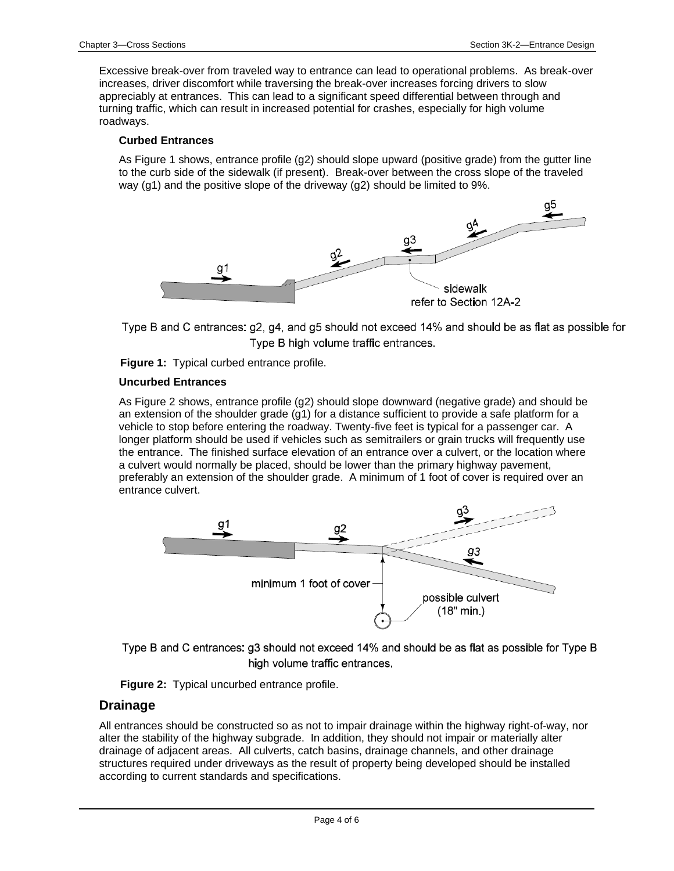Excessive break-over from traveled way to entrance can lead to operational problems. As break-over increases, driver discomfort while traversing the break-over increases forcing drivers to slow appreciably at entrances. This can lead to a significant speed differential between through and turning traffic, which can result in increased potential for crashes, especially for high volume roadways.

#### **Curbed Entrances**

As Figure 1 shows, entrance profile (g2) should slope upward (positive grade) from the gutter line to the curb side of the sidewalk (if present). Break-over between the cross slope of the traveled way (g1) and the positive slope of the driveway (g2) should be limited to 9%.



Type B and C entrances: g2, g4, and g5 should not exceed 14% and should be as flat as possible for Type B high volume traffic entrances.

**Figure 1:** Typical curbed entrance profile.

#### **Uncurbed Entrances**

As Figure 2 shows, entrance profile (g2) should slope downward (negative grade) and should be an extension of the shoulder grade (g1) for a distance sufficient to provide a safe platform for a vehicle to stop before entering the roadway. Twenty-five feet is typical for a passenger car. A longer platform should be used if vehicles such as semitrailers or grain trucks will frequently use the entrance. The finished surface elevation of an entrance over a culvert, or the location where a culvert would normally be placed, should be lower than the primary highway pavement, preferably an extension of the shoulder grade. A minimum of 1 foot of cover is required over an entrance culvert.



Type B and C entrances: g3 should not exceed 14% and should be as flat as possible for Type B high volume traffic entrances.



#### **Drainage**

All entrances should be constructed so as not to impair drainage within the highway right-of-way, nor alter the stability of the highway subgrade. In addition, they should not impair or materially alter drainage of adjacent areas. All culverts, catch basins, drainage channels, and other drainage structures required under driveways as the result of property being developed should be installed according to current standards and specifications.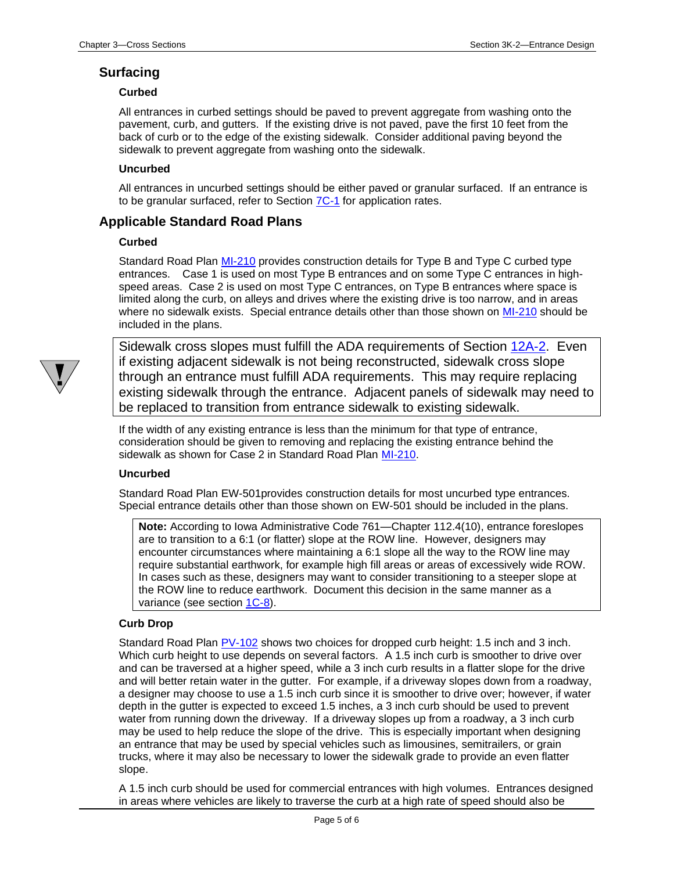#### **Surfacing**

#### **Curbed**

All entrances in curbed settings should be paved to prevent aggregate from washing onto the pavement, curb, and gutters. If the existing drive is not paved, pave the first 10 feet from the back of curb or to the edge of the existing sidewalk. Consider additional paving beyond the sidewalk to prevent aggregate from washing onto the sidewalk.

#### **Uncurbed**

All entrances in uncurbed settings should be either paved or granular surfaced. If an entrance is to be granular surfaced, refer to Section [7C-1](07c-01.pdf) for application rates.

#### **Applicable Standard Road Plans**

#### **Curbed**

Standard Road Plan [MI-210](../SRP/IndividualStandards/mi210.pdf) provides construction details for Type B and Type C curbed type entrances. Case 1 is used on most Type B entrances and on some Type C entrances in highspeed areas. Case 2 is used on most Type C entrances, on Type B entrances where space is limited along the curb, on alleys and drives where the existing drive is too narrow, and in areas where no sidewalk exists. Special entrance details other than those shown on [MI-210](../SRP/IndividualStandards/mi210.pdf) should be included in the plans.



Sidewalk cross slopes must fulfill the ADA requirements of Section [12A-2.](12a-02.pdf) Even if existing adjacent sidewalk is not being reconstructed, sidewalk cross slope through an entrance must fulfill ADA requirements. This may require replacing existing sidewalk through the entrance. Adjacent panels of sidewalk may need to be replaced to transition from entrance sidewalk to existing sidewalk.

If the width of any existing entrance is less than the minimum for that type of entrance, consideration should be given to removing and replacing the existing entrance behind the sidewalk as shown for Case 2 in Standard Road Plan [MI-210.](../SRP/IndividualStandards/mi210.pdf)

#### **Uncurbed**

Standard Road Plan EW-501provides construction details for most uncurbed type entrances. Special entrance details other than those shown on EW-501 should be included in the plans.

**Note:** According to Iowa Administrative Code 761—Chapter 112.4(10), entrance foreslopes are to transition to a 6:1 (or flatter) slope at the ROW line. However, designers may encounter circumstances where maintaining a 6:1 slope all the way to the ROW line may require substantial earthwork, for example high fill areas or areas of excessively wide ROW. In cases such as these, designers may want to consider transitioning to a steeper slope at the ROW line to reduce earthwork. Document this decision in the same manner as a variance (see section [1C-8\)](01C-08.pdf).

#### **Curb Drop**

Standard Road Plan [PV-102](../SRP/IndividualStandards/pv102.pdf) shows two choices for dropped curb height: 1.5 inch and 3 inch. Which curb height to use depends on several factors. A 1.5 inch curb is smoother to drive over and can be traversed at a higher speed, while a 3 inch curb results in a flatter slope for the drive and will better retain water in the gutter. For example, if a driveway slopes down from a roadway, a designer may choose to use a 1.5 inch curb since it is smoother to drive over; however, if water depth in the gutter is expected to exceed 1.5 inches, a 3 inch curb should be used to prevent water from running down the driveway. If a driveway slopes up from a roadway, a 3 inch curb may be used to help reduce the slope of the drive. This is especially important when designing an entrance that may be used by special vehicles such as limousines, semitrailers, or grain trucks, where it may also be necessary to lower the sidewalk grade to provide an even flatter slope.

A 1.5 inch curb should be used for commercial entrances with high volumes. Entrances designed in areas where vehicles are likely to traverse the curb at a high rate of speed should also be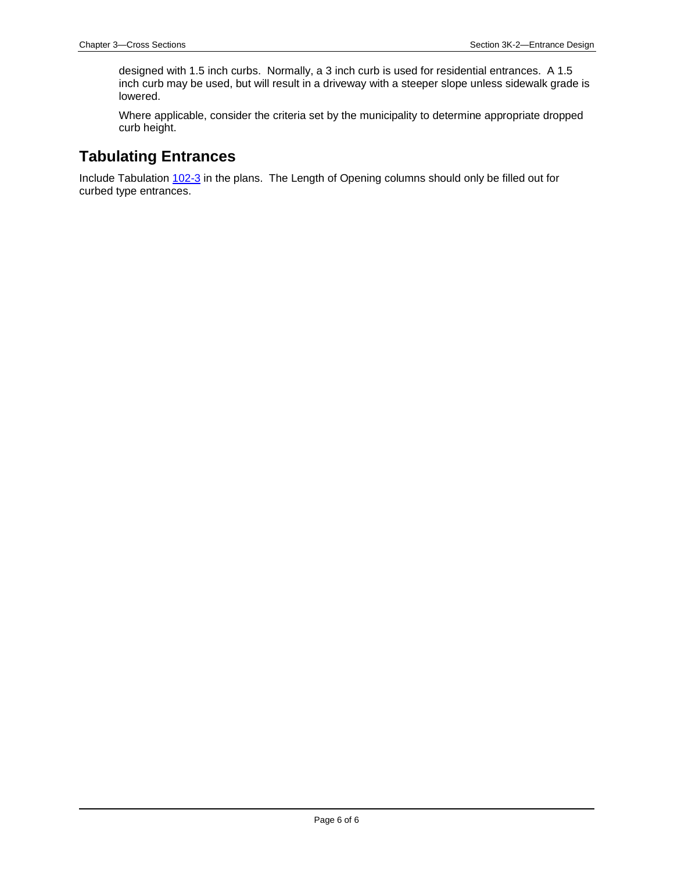designed with 1.5 inch curbs. Normally, a 3 inch curb is used for residential entrances. A 1.5 inch curb may be used, but will result in a driveway with a steeper slope unless sidewalk grade is lowered.

Where applicable, consider the criteria set by the municipality to determine appropriate dropped curb height.

### **Tabulating Entrances**

Include Tabulation [102-3](../tnt/PDFsandWebFiles/IndividualPDFs/0102-03.PDF) in the plans. The Length of Opening columns should only be filled out for curbed type entrances.